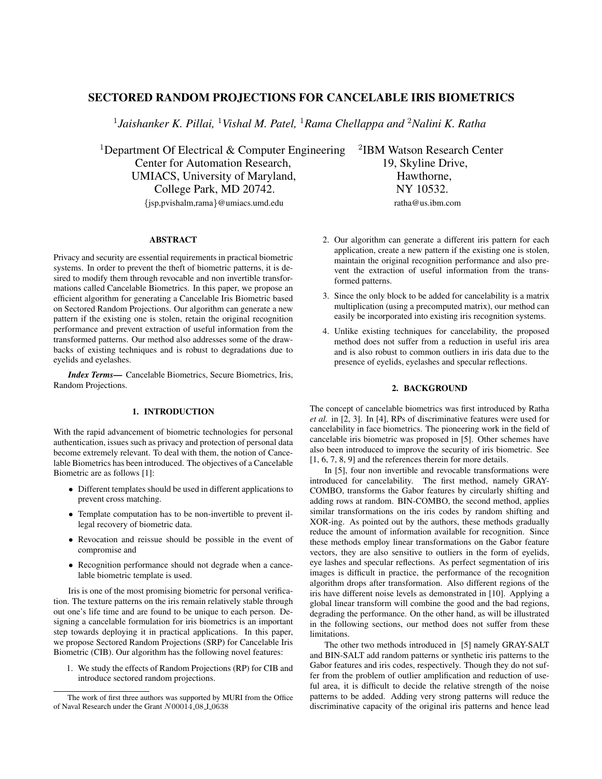# SECTORED RANDOM PROJECTIONS FOR CANCELABLE IRIS BIOMETRICS

1 *Jaishanker K. Pillai,* <sup>1</sup>*Vishal M. Patel,* <sup>1</sup>*Rama Chellappa and* <sup>2</sup>*Nalini K. Ratha*

<sup>1</sup>Department Of Electrical  $&$  Computer Engineering Center for Automation Research, 19, Skyline Drive, UMIACS, University of Maryland, Hawthorne, College Park, MD 20742. NY 10532. {jsp,pvishalm,rama}@umiacs.umd.edu ratha@us.ibm.com

## ABSTRACT

Privacy and security are essential requirements in practical biometric systems. In order to prevent the theft of biometric patterns, it is desired to modify them through revocable and non invertible transformations called Cancelable Biometrics. In this paper, we propose an efficient algorithm for generating a Cancelable Iris Biometric based on Sectored Random Projections. Our algorithm can generate a new pattern if the existing one is stolen, retain the original recognition performance and prevent extraction of useful information from the transformed patterns. Our method also addresses some of the drawbacks of existing techniques and is robust to degradations due to eyelids and eyelashes.

*Index Terms*— Cancelable Biometrics, Secure Biometrics, Iris, Random Projections.

## 1. INTRODUCTION

With the rapid advancement of biometric technologies for personal authentication, issues such as privacy and protection of personal data become extremely relevant. To deal with them, the notion of Cancelable Biometrics has been introduced. The objectives of a Cancelable Biometric are as follows [1]:

- Different templates should be used in different applications to prevent cross matching.
- Template computation has to be non-invertible to prevent illegal recovery of biometric data.
- Revocation and reissue should be possible in the event of compromise and
- Recognition performance should not degrade when a cancelable biometric template is used.

Iris is one of the most promising biometric for personal verification. The texture patterns on the iris remain relatively stable through out one's life time and are found to be unique to each person. Designing a cancelable formulation for iris biometrics is an important step towards deploying it in practical applications. In this paper, we propose Sectored Random Projections (SRP) for Cancelable Iris Biometric (CIB). Our algorithm has the following novel features:

1. We study the effects of Random Projections (RP) for CIB and introduce sectored random projections.

<sup>2</sup>IBM Watson Research Center

- 2. Our algorithm can generate a different iris pattern for each application, create a new pattern if the existing one is stolen, maintain the original recognition performance and also prevent the extraction of useful information from the transformed patterns.
- 3. Since the only block to be added for cancelability is a matrix multiplication (using a precomputed matrix), our method can easily be incorporated into existing iris recognition systems.
- 4. Unlike existing techniques for cancelability, the proposed method does not suffer from a reduction in useful iris area and is also robust to common outliers in iris data due to the presence of eyelids, eyelashes and specular reflections.

## 2. BACKGROUND

The concept of cancelable biometrics was first introduced by Ratha *et al.* in [2, 3]. In [4], RPs of discriminative features were used for cancelability in face biometrics. The pioneering work in the field of cancelable iris biometric was proposed in [5]. Other schemes have also been introduced to improve the security of iris biometric. See [1, 6, 7, 8, 9] and the references therein for more details.

In [5], four non invertible and revocable transformations were introduced for cancelability. The first method, namely GRAY-COMBO, transforms the Gabor features by circularly shifting and adding rows at random. BIN-COMBO, the second method, applies similar transformations on the iris codes by random shifting and XOR-ing. As pointed out by the authors, these methods gradually reduce the amount of information available for recognition. Since these methods employ linear transformations on the Gabor feature vectors, they are also sensitive to outliers in the form of eyelids, eye lashes and specular reflections. As perfect segmentation of iris images is difficult in practice, the performance of the recognition algorithm drops after transformation. Also different regions of the iris have different noise levels as demonstrated in [10]. Applying a global linear transform will combine the good and the bad regions, degrading the performance. On the other hand, as will be illustrated in the following sections, our method does not suffer from these limitations.

The other two methods introduced in [5] namely GRAY-SALT and BIN-SALT add random patterns or synthetic iris patterns to the Gabor features and iris codes, respectively. Though they do not suffer from the problem of outlier amplification and reduction of useful area, it is difficult to decide the relative strength of the noise patterns to be added. Adding very strong patterns will reduce the discriminative capacity of the original iris patterns and hence lead

The work of first three authors was supported by MURI from the Office of Naval Research under the Grant N00014 08 I 0638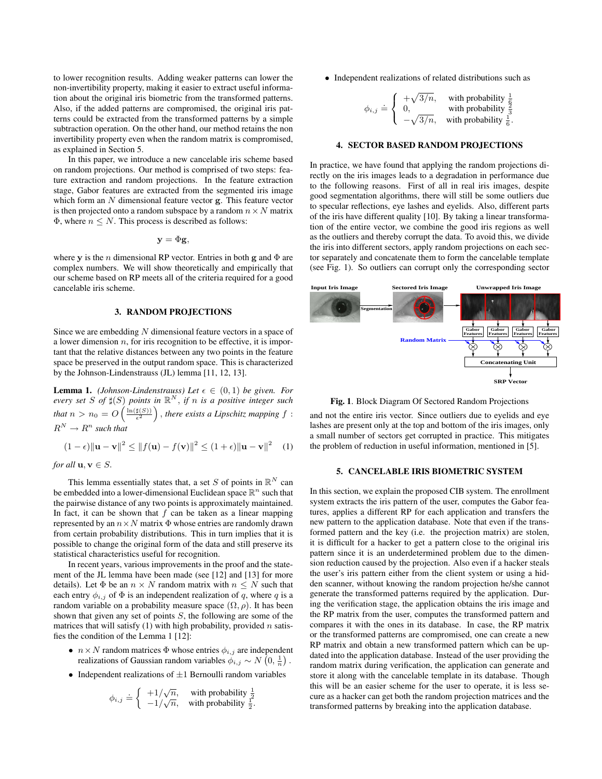to lower recognition results. Adding weaker patterns can lower the non-invertibility property, making it easier to extract useful information about the original iris biometric from the transformed patterns. Also, if the added patterns are compromised, the original iris patterns could be extracted from the transformed patterns by a simple subtraction operation. On the other hand, our method retains the non invertibility property even when the random matrix is compromised, as explained in Section 5.

In this paper, we introduce a new cancelable iris scheme based on random projections. Our method is comprised of two steps: feature extraction and random projections. In the feature extraction stage, Gabor features are extracted from the segmented iris image which form an  $N$  dimensional feature vector  $g$ . This feature vector is then projected onto a random subspace by a random  $n \times N$  matrix  $\Phi$ , where  $n \leq N$ . This process is described as follows:

 $y = \Phi g$ ,

where y is the *n* dimensional RP vector. Entries in both g and  $\Phi$  are complex numbers. We will show theoretically and empirically that our scheme based on RP meets all of the criteria required for a good cancelable iris scheme.

### 3. RANDOM PROJECTIONS

Since we are embedding N dimensional feature vectors in a space of a lower dimension  $n$ , for iris recognition to be effective, it is important that the relative distances between any two points in the feature space be preserved in the output random space. This is characterized by the Johnson-Lindenstrauss (JL) lemma [11, 12, 13].

**Lemma 1.** *(Johnson-Lindenstrauss) Let*  $\epsilon \in (0,1)$  *be given. For every set*  $S$  *of*  $\sharp(S)$  *points in*  $\mathbb{R}^N$ *, if n is a positive integer such* that  $n > n_0 = O\left(\frac{\ln(\sharp(S))}{\epsilon^2}\right)$  , there exists a Lipschitz mapping  $f$  :  $R^N \to R^n$  such that

$$
(1 - \epsilon) \| \mathbf{u} - \mathbf{v} \|^2 \le \| f(\mathbf{u}) - f(\mathbf{v}) \|^2 \le (1 + \epsilon) \| \mathbf{u} - \mathbf{v} \|^2 \tag{1}
$$

*for all*  $u, v \in S$ .

This lemma essentially states that, a set S of points in  $\mathbb{R}^N$  can be embedded into a lower-dimensional Euclidean space  $\mathbb{R}^n$  such that the pairwise distance of any two points is approximately maintained. In fact, it can be shown that  $f$  can be taken as a linear mapping represented by an  $n \times N$  matrix  $\Phi$  whose entries are randomly drawn from certain probability distributions. This in turn implies that it is possible to change the original form of the data and still preserve its statistical characteristics useful for recognition.

In recent years, various improvements in the proof and the statement of the JL lemma have been made (see [12] and [13] for more details). Let  $\Phi$  be an  $n \times N$  random matrix with  $n \leq N$  such that each entry  $\phi_{i,j}$  of  $\Phi$  is an independent realization of q, where q is a random variable on a probability measure space  $(\Omega, \rho)$ . It has been shown that given any set of points S, the following are some of the matrices that will satisfy  $(1)$  with high probability, provided *n* satisfies the condition of the Lemma 1 [12]:

- $n \times N$  random matrices  $\Phi$  whose entries  $\phi_{i,j}$  are independent realizations of Gaussian random variables  $\phi_{i,j} \sim N(0, \frac{1}{n})$ .
- Independent realizations of  $\pm 1$  Bernoulli random variables

$$
\phi_{i,j} \doteq \left\{ \begin{array}{ll} +1/\sqrt{n}, & \text{with probability } \frac{1}{2} \\ -1/\sqrt{n}, & \text{with probability } \frac{1}{2}. \end{array} \right.
$$

• Independent realizations of related distributions such as

$$
\phi_{i,j} \doteq \left\{ \begin{array}{ll} +\sqrt{3/n}, & \text{ with probability } \frac{1}{9} \\ 0, & \text{ with probability } \frac{2}{3} \\ -\sqrt{3/n}, & \text{ with probability } \frac{1}{6}. \end{array} \right.
$$

### 4. SECTOR BASED RANDOM PROJECTIONS

In practice, we have found that applying the random projections directly on the iris images leads to a degradation in performance due to the following reasons. First of all in real iris images, despite good segmentation algorithms, there will still be some outliers due to specular reflections, eye lashes and eyelids. Also, different parts of the iris have different quality [10]. By taking a linear transformation of the entire vector, we combine the good iris regions as well as the outliers and thereby corrupt the data. To avoid this, we divide the iris into different sectors, apply random projections on each sector separately and concatenate them to form the cancelable template (see Fig. 1). So outliers can corrupt only the corresponding sector



Fig. 1. Block Diagram Of Sectored Random Projections

and not the entire iris vector. Since outliers due to eyelids and eye lashes are present only at the top and bottom of the iris images, only a small number of sectors get corrupted in practice. This mitigates the problem of reduction in useful information, mentioned in [5].

## 5. CANCELABLE IRIS BIOMETRIC SYSTEM

In this section, we explain the proposed CIB system. The enrollment system extracts the iris pattern of the user, computes the Gabor features, applies a different RP for each application and transfers the new pattern to the application database. Note that even if the transformed pattern and the key (i.e. the projection matrix) are stolen, it is difficult for a hacker to get a pattern close to the original iris pattern since it is an underdetermined problem due to the dimension reduction caused by the projection. Also even if a hacker steals the user's iris pattern either from the client system or using a hidden scanner, without knowing the random projection he/she cannot generate the transformed patterns required by the application. During the verification stage, the application obtains the iris image and the RP matrix from the user, computes the transformed pattern and compares it with the ones in its database. In case, the RP matrix or the transformed patterns are compromised, one can create a new RP matrix and obtain a new transformed pattern which can be updated into the application database. Instead of the user providing the random matrix during verification, the application can generate and store it along with the cancelable template in its database. Though this will be an easier scheme for the user to operate, it is less secure as a hacker can get both the random projection matrices and the transformed patterns by breaking into the application database.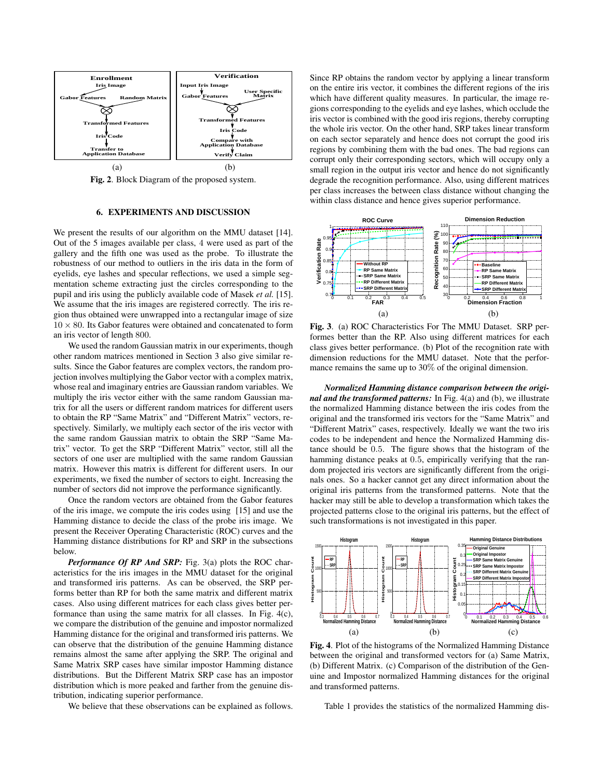

Fig. 2. Block Diagram of the proposed system.

#### 6. EXPERIMENTS AND DISCUSSION

We present the results of our algorithm on the MMU dataset [14]. Out of the 5 images available per class, 4 were used as part of the gallery and the fifth one was used as the probe. To illustrate the robustness of our method to outliers in the iris data in the form of eyelids, eye lashes and specular reflections, we used a simple segmentation scheme extracting just the circles corresponding to the pupil and iris using the publicly available code of Masek *et al.* [15]. We assume that the iris images are registered correctly. The iris region thus obtained were unwrapped into a rectangular image of size  $10 \times 80$ . Its Gabor features were obtained and concatenated to form an iris vector of length 800.

We used the random Gaussian matrix in our experiments, though other random matrices mentioned in Section 3 also give similar results. Since the Gabor features are complex vectors, the random projection involves multiplying the Gabor vector with a complex matrix, whose real and imaginary entries are Gaussian random variables. We multiply the iris vector either with the same random Gaussian matrix for all the users or different random matrices for different users to obtain the RP "Same Matrix" and "Different Matrix" vectors, respectively. Similarly, we multiply each sector of the iris vector with the same random Gaussian matrix to obtain the SRP "Same Matrix" vector. To get the SRP "Different Matrix" vector, still all the sectors of one user are multiplied with the same random Gaussian matrix. However this matrix is different for different users. In our experiments, we fixed the number of sectors to eight. Increasing the number of sectors did not improve the performance significantly.

Once the random vectors are obtained from the Gabor features of the iris image, we compute the iris codes using [15] and use the Hamming distance to decide the class of the probe iris image. We present the Receiver Operating Characteristic (ROC) curves and the Hamming distance distributions for RP and SRP in the subsections below.

*Performance Of RP And SRP:* Fig. 3(a) plots the ROC characteristics for the iris images in the MMU dataset for the original and transformed iris patterns. As can be observed, the SRP performs better than RP for both the same matrix and different matrix cases. Also using different matrices for each class gives better performance than using the same matrix for all classes. In Fig. 4(c), we compare the distribution of the genuine and impostor normalized Hamming distance for the original and transformed iris patterns. We can observe that the distribution of the genuine Hamming distance remains almost the same after applying the SRP. The original and Same Matrix SRP cases have similar impostor Hamming distance distributions. But the Different Matrix SRP case has an impostor distribution which is more peaked and farther from the genuine distribution, indicating superior performance.

We believe that these observations can be explained as follows.

Since RP obtains the random vector by applying a linear transform on the entire iris vector, it combines the different regions of the iris which have different quality measures. In particular, the image regions corresponding to the eyelids and eye lashes, which occlude the iris vector is combined with the good iris regions, thereby corrupting the whole iris vector. On the other hand, SRP takes linear transform on each sector separately and hence does not corrupt the good iris regions by combining them with the bad ones. The bad regions can corrupt only their corresponding sectors, which will occupy only a small region in the output iris vector and hence do not significantly degrade the recognition performance. Also, using different matrices per class increases the between class distance without changing the within class distance and hence gives superior performance.



Fig. 3. (a) ROC Characteristics For The MMU Dataset. SRP performes better than the RP. Also using different matrices for each class gives better performance. (b) Plot of the recognition rate with dimension reductions for the MMU dataset. Note that the performance remains the same up to 30% of the original dimension.

*Normalized Hamming distance comparison between the original and the transformed patterns:* In Fig. 4(a) and (b), we illustrate the normalized Hamming distance between the iris codes from the original and the transformed iris vectors for the "Same Matrix" and "Different Matrix" cases, respectively. Ideally we want the two iris codes to be independent and hence the Normalized Hamming distance should be 0.5. The figure shows that the histogram of the hamming distance peaks at 0.5, empirically verifying that the random projected iris vectors are significantly different from the originals ones. So a hacker cannot get any direct information about the original iris patterns from the transformed patterns. Note that the hacker may still be able to develop a transformation which takes the projected patterns close to the original iris patterns, but the effect of such transformations is not investigated in this paper.



Fig. 4. Plot of the histograms of the Normalized Hamming Distance between the original and transformed vectors for (a) Same Matrix, (b) Different Matrix. (c) Comparison of the distribution of the Genuine and Impostor normalized Hamming distances for the original and transformed patterns.

Table 1 provides the statistics of the normalized Hamming dis-